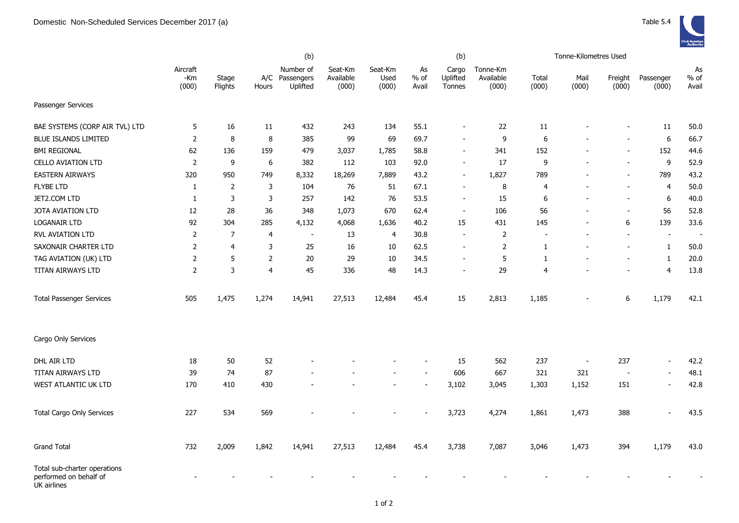|                                                                       | (b)                      |                  |                |                                         |                               |                          |                       | (b)                         |                                |                | Tonne-Kilometres Used    |                          |                          |                       |
|-----------------------------------------------------------------------|--------------------------|------------------|----------------|-----------------------------------------|-------------------------------|--------------------------|-----------------------|-----------------------------|--------------------------------|----------------|--------------------------|--------------------------|--------------------------|-----------------------|
|                                                                       | Aircraft<br>-Km<br>(000) | Stage<br>Flights | Hours          | Number of<br>A/C Passengers<br>Uplifted | Seat-Km<br>Available<br>(000) | Seat-Km<br>Used<br>(000) | As<br>$%$ of<br>Avail | Cargo<br>Uplifted<br>Tonnes | Tonne-Km<br>Available<br>(000) | Total<br>(000) | Mail<br>(000)            | Freight<br>(000)         | Passenger<br>(000)       | As<br>$%$ of<br>Avail |
| Passenger Services                                                    |                          |                  |                |                                         |                               |                          |                       |                             |                                |                |                          |                          |                          |                       |
| BAE SYSTEMS (CORP AIR TVL) LTD                                        | 5                        | 16               | 11             | 432                                     | 243                           | 134                      | 55.1                  |                             | 22                             | 11             |                          |                          | 11                       | 50.0                  |
| <b>BLUE ISLANDS LIMITED</b>                                           | 2                        | 8                | 8              | 385                                     | 99                            | 69                       | 69.7                  |                             | 9                              | 6              |                          |                          | $\boldsymbol{6}$         | 66.7                  |
| <b>BMI REGIONAL</b>                                                   | 62                       | 136              | 159            | 479                                     | 3,037                         | 1,785                    | 58.8                  | $\overline{\phantom{a}}$    | 341                            | 152            |                          |                          | 152                      | 44.6                  |
| <b>CELLO AVIATION LTD</b>                                             | 2                        | 9                | 6              | 382                                     | 112                           | 103                      | 92.0                  | $\overline{\phantom{a}}$    | 17                             | 9              |                          | $\overline{a}$           | 9                        | 52.9                  |
| <b>EASTERN AIRWAYS</b>                                                | 320                      | 950              | 749            | 8,332                                   | 18,269                        | 7,889                    | 43.2                  | $\overline{\phantom{a}}$    | 1,827                          | 789            |                          | $\overline{\phantom{a}}$ | 789                      | 43.2                  |
| <b>FLYBE LTD</b>                                                      | $\mathbf{1}$             | 2                | 3              | 104                                     | 76                            | 51                       | 67.1                  |                             | 8                              | $\overline{4}$ |                          | $\overline{a}$           | $\overline{4}$           | 50.0                  |
| JET2.COM LTD                                                          | $\mathbf{1}$             | 3                | 3              | 257                                     | 142                           | 76                       | 53.5                  | $\overline{\phantom{a}}$    | 15                             | 6              | $\overline{a}$           | $\overline{\phantom{a}}$ | $\boldsymbol{6}$         | 40.0                  |
| JOTA AVIATION LTD                                                     | 12                       | 28               | 36             | 348                                     | 1,073                         | 670                      | 62.4                  | $\sim$                      | 106                            | 56             | $\overline{a}$           | $\blacksquare$           | 56                       | 52.8                  |
| <b>LOGANAIR LTD</b>                                                   | 92                       | 304              | 285            | 4,132                                   | 4,068                         | 1,636                    | 40.2                  | 15                          | 431                            | 145            | $\overline{a}$           | 6                        | 139                      | 33.6                  |
| <b>RVL AVIATION LTD</b>                                               | 2                        | $\overline{7}$   | $\overline{4}$ | $\blacksquare$                          | 13                            | 4                        | 30.8                  | $\overline{\phantom{a}}$    | 2                              |                |                          | $\overline{\phantom{a}}$ | $\overline{\phantom{a}}$ |                       |
| SAXONAIR CHARTER LTD                                                  | 2                        | $\overline{4}$   | 3              | 25                                      | 16                            | 10                       | 62.5                  | $\overline{\phantom{a}}$    | 2                              | 1              |                          | $\overline{a}$           | $\mathbf{1}$             | 50.0                  |
| TAG AVIATION (UK) LTD                                                 | 2                        | 5                | $\overline{2}$ | 20                                      | 29                            | 10                       | 34.5                  | $\overline{\phantom{a}}$    | 5                              | 1              |                          |                          | $\mathbf{1}$             | 20.0                  |
| TITAN AIRWAYS LTD                                                     | $\overline{2}$           | $\mathsf{3}$     | $\overline{4}$ | 45                                      | 336                           | 48                       | 14.3                  | $\blacksquare$              | 29                             | 4              |                          | $\overline{a}$           | $\overline{4}$           | 13.8                  |
| <b>Total Passenger Services</b>                                       | 505                      | 1,475            | 1,274          | 14,941                                  | 27,513                        | 12,484                   | 45.4                  | 15                          | 2,813                          | 1,185          |                          | 6                        | 1,179                    | 42.1                  |
| Cargo Only Services                                                   |                          |                  |                |                                         |                               |                          |                       |                             |                                |                |                          |                          |                          |                       |
| DHL AIR LTD                                                           | 18                       | 50               | 52             |                                         |                               |                          |                       | 15                          | 562                            | 237            | $\overline{\phantom{a}}$ | 237                      | $\overline{a}$           | 42.2                  |
| TITAN AIRWAYS LTD                                                     | 39                       | 74               | 87             |                                         |                               |                          |                       | 606                         | 667                            | 321            | 321                      | $\overline{\phantom{a}}$ | $\overline{a}$           | 48.1                  |
| WEST ATLANTIC UK LTD                                                  | 170                      | 410              | 430            |                                         |                               |                          |                       | 3,102                       | 3,045                          | 1,303          | 1,152                    | 151                      | $\overline{a}$           | 42.8                  |
| <b>Total Cargo Only Services</b>                                      | 227                      | 534              | 569            |                                         |                               |                          |                       | 3,723                       | 4,274                          | 1,861          | 1,473                    | 388                      |                          | 43.5                  |
| <b>Grand Total</b>                                                    | 732                      | 2,009            | 1,842          | 14,941                                  | 27,513                        | 12,484                   | 45.4                  | 3,738                       | 7,087                          | 3,046          | 1,473                    | 394                      | 1,179                    | 43.0                  |
| Total sub-charter operations<br>performed on behalf of<br>UK airlines |                          |                  |                |                                         |                               |                          |                       |                             |                                |                |                          |                          |                          |                       |